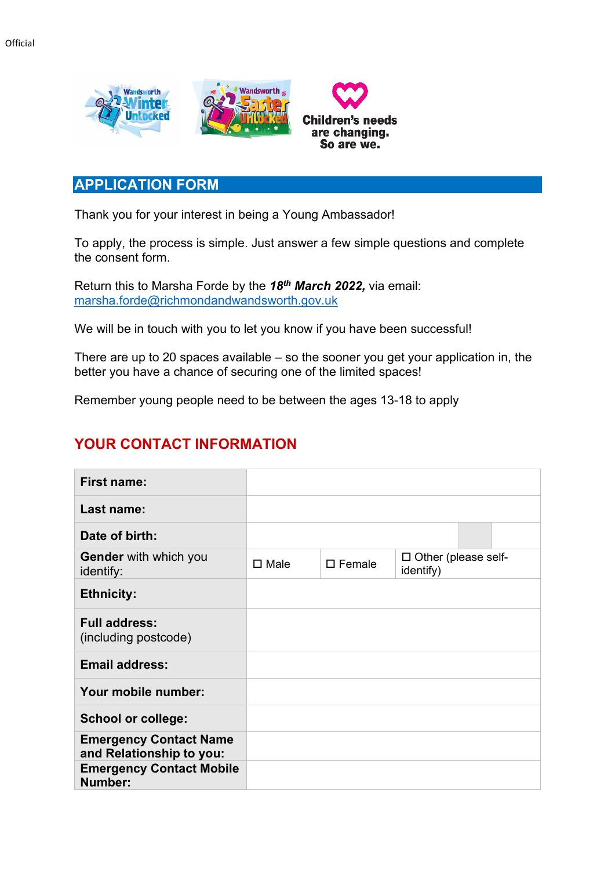

## **APPLICATION FORM**

Thank you for your interest in being a Young Ambassador!

To apply, the process is simple. Just answer a few simple questions and complete the consent form.

Return this to Marsha Forde by the *18th March 2022,* via email: [marsha.forde@richmondandwandsworth.gov.uk](mailto:marsha.forde@richmondandwandsworth.gov.uk)

We will be in touch with you to let you know if you have been successful!

There are up to 20 spaces available – so the sooner you get your application in, the better you have a chance of securing one of the limited spaces!

Remember young people need to be between the ages 13-18 to apply

## **YOUR CONTACT INFORMATION**

| <b>First name:</b>                                        |                |                  |                                         |  |
|-----------------------------------------------------------|----------------|------------------|-----------------------------------------|--|
| Last name:                                                |                |                  |                                         |  |
| Date of birth:                                            |                |                  |                                         |  |
| <b>Gender</b> with which you<br>identify:                 | $\square$ Male | $\square$ Female | $\Box$ Other (please self-<br>identify) |  |
| <b>Ethnicity:</b>                                         |                |                  |                                         |  |
| <b>Full address:</b><br>(including postcode)              |                |                  |                                         |  |
| <b>Email address:</b>                                     |                |                  |                                         |  |
| Your mobile number:                                       |                |                  |                                         |  |
| <b>School or college:</b>                                 |                |                  |                                         |  |
| <b>Emergency Contact Name</b><br>and Relationship to you: |                |                  |                                         |  |
| <b>Emergency Contact Mobile</b><br>Number:                |                |                  |                                         |  |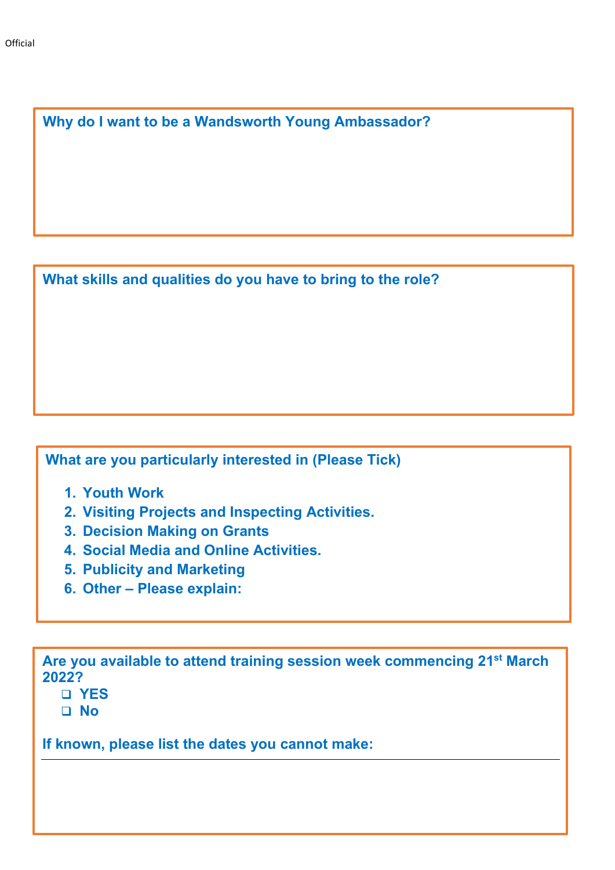**Why do I want to be a Wandsworth Young Ambassador?** 

**What skills and qualities do you have to bring to the role?**

**What are you particularly interested in (Please Tick)**

- **1. Youth Work**
- **2. Visiting Projects and Inspecting Activities.**
- **3. Decision Making on Grants**
- **4. Social Media and Online Activities.**
- **5. Publicity and Marketing**
- **6. Other – Please explain:**

**Are you available to attend training session week commencing 21st March 2022?**

- **YES**
- **No**

**If known, please list the dates you cannot make:**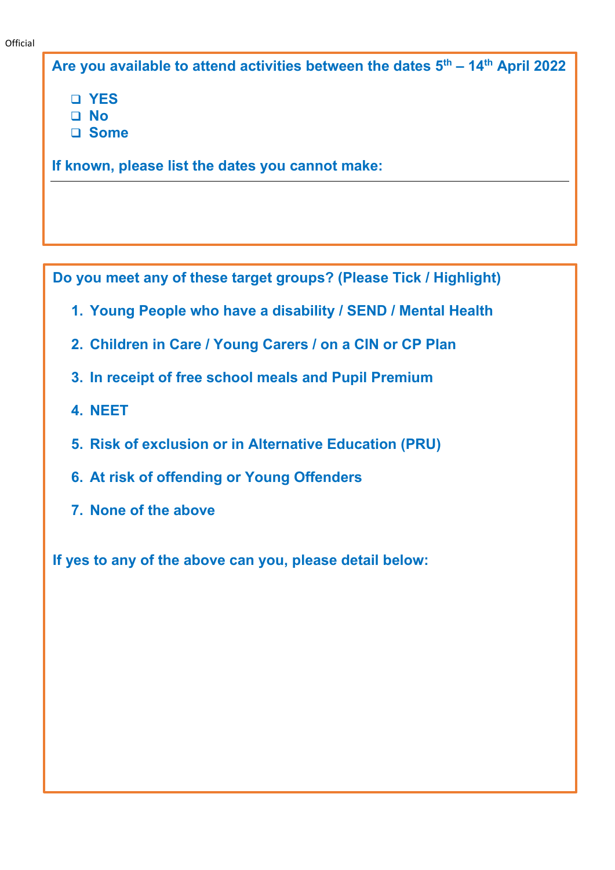**Are you available to attend activities between the dates 5th – 14th April 2022**

**YES** 

- **No**
- **Some**

**If known, please list the dates you cannot make:** 

**Do you meet any of these target groups? (Please Tick / Highlight)**

- **1. Young People who have a disability / SEND / Mental Health**
- **2. Children in Care / Young Carers / on a CIN or CP Plan**
- **3. In receipt of free school meals and Pupil Premium**
- **4. NEET**
- **5. Risk of exclusion or in Alternative Education (PRU)**
- **6. At risk of offending or Young Offenders**
- **7. None of the above**

**If yes to any of the above can you, please detail below:**